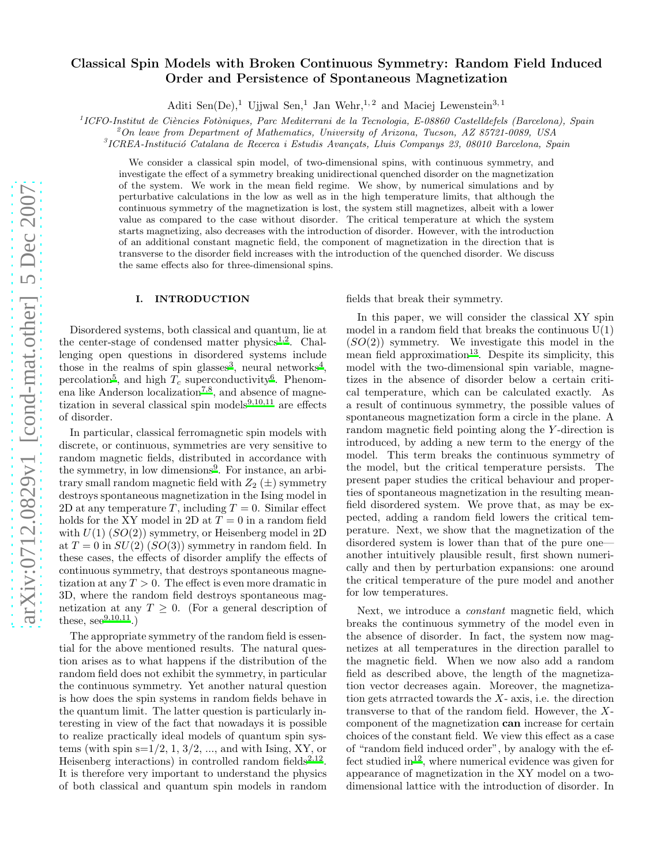# arXiv:0712.0829v1 [cond-mat.other] 5 Dec 2007 [arXiv:0712.0829v1 \[cond-mat.other\] 5 Dec 2007](http://arxiv.org/abs/0712.0829v1)

# Classical Spin Models with Broken Continuous Symmetry: Random Field Induced Order and Persistence of Spontaneous Magnetization

Aditi Sen(De),<sup>1</sup> Ujjwal Sen,<sup>1</sup> Jan Wehr,<sup>1,2</sup> and Maciej Lewenstein<sup>3,1</sup>

 $11$ CFO-Institut de Ciències Fotòniques, Parc Mediterrani de la Tecnologia, E-08860 Castelldefels (Barcelona), Spain

 $^2$ On leave from Department of Mathematics, University of Arizona, Tucson, AZ 85721-0089, USA

 ${}^{3}$ ICREA-Institució Catalana de Recerca i Estudis Avançats, Lluis Companys 23, 08010 Barcelona, Spain

We consider a classical spin model, of two-dimensional spins, with continuous symmetry, and investigate the effect of a symmetry breaking unidirectional quenched disorder on the magnetization of the system. We work in the mean field regime. We show, by numerical simulations and by perturbative calculations in the low as well as in the high temperature limits, that although the continuous symmetry of the magnetization is lost, the system still magnetizes, albeit with a lower value as compared to the case without disorder. The critical temperature at which the system starts magnetizing, also decreases with the introduction of disorder. However, with the introduction of an additional constant magnetic field, the component of magnetization in the direction that is transverse to the disorder field increases with the introduction of the quenched disorder. We discuss the same effects also for three-dimensional spins.

#### I. INTRODUCTION

Disordered systems, both classical and quantum, lie at the center-stage of condensed matter physics<sup>[1](#page-10-0)[,2](#page-10-1)</sup>. Challenging open questions in disordered systems include those in the realms of spin glasses<sup>[3](#page-10-2)</sup>, neural networks<sup>[4](#page-10-3)</sup>, percolation<sup>[5](#page-10-4)</sup>, and high  $T_c$  superconductivit[y](#page-10-5)<sup>6</sup>. Phenom-ena like Anderson localization<sup>[7](#page-10-6)[,8](#page-10-7)</sup>, and absence of magnetization in several classical spin models $9,10,11$  $9,10,11$  $9,10,11$  are effects of disorder.

In particular, classical ferromagnetic spin models with discrete, or continuous, symmetries are very sensitive to random magnetic fields, distributed in accordance with the symmetry, in low dimensions<sup>[9](#page-10-8)</sup>. For instance, an arbitrary small random magnetic field with  $Z_2(\pm)$  symmetry destroys spontaneous magnetization in the Ising model in 2D at any temperature T, including  $T = 0$ . Similar effect holds for the XY model in 2D at  $T = 0$  in a random field with  $U(1)$   $(SO(2))$  symmetry, or Heisenberg model in 2D at  $T = 0$  in  $SU(2)$   $(SO(3))$  symmetry in random field. In these cases, the effects of disorder amplify the effects of continuous symmetry, that destroys spontaneous magnetization at any  $T > 0$ . The effect is even more dramatic in 3D, where the random field destroys spontaneous magnetization at any  $T \geq 0$ . (For a general description of these,  $\sec^{9,10,11}$  $\sec^{9,10,11}$  $\sec^{9,10,11}$  $\sec^{9,10,11}$  $\sec^{9,10,11}$ .

The appropriate symmetry of the random field is essential for the above mentioned results. The natural question arises as to what happens if the distribution of the random field does not exhibit the symmetry, in particular the continuous symmetry. Yet another natural question is how does the spin systems in random fields behave in the quantum limit. The latter question is particularly interesting in view of the fact that nowadays it is possible to realize practically ideal models of quantum spin systems (with spin  $s=1/2, 1, 3/2, \ldots$ , and with Ising, XY, or Heisenberg interactions) in controlled random fields<sup>[2](#page-10-1)[,12](#page-10-11)</sup>. It is therefore very important to understand the physics of both classical and quantum spin models in random fields that break their symmetry.

In this paper, we will consider the classical XY spin model in a random field that breaks the continuous  $U(1)$  $(SO(2))$  symmetry. We investigate this model in the mean field approximation<sup>[13](#page-10-12)</sup>. Despite its simplicity, this model with the two-dimensional spin variable, magnetizes in the absence of disorder below a certain critical temperature, which can be calculated exactly. As a result of continuous symmetry, the possible values of spontaneous magnetization form a circle in the plane. A random magnetic field pointing along the Y -direction is introduced, by adding a new term to the energy of the model. This term breaks the continuous symmetry of the model, but the critical temperature persists. The present paper studies the critical behaviour and properties of spontaneous magnetization in the resulting meanfield disordered system. We prove that, as may be expected, adding a random field lowers the critical temperature. Next, we show that the magnetization of the disordered system is lower than that of the pure one another intuitively plausible result, first shown numerically and then by perturbation expansions: one around the critical temperature of the pure model and another for low temperatures.

Next, we introduce a constant magnetic field, which breaks the continuous symmetry of the model even in the absence of disorder. In fact, the system now magnetizes at all temperatures in the direction parallel to the magnetic field. When we now also add a random field as described above, the length of the magnetization vector decreases again. Moreover, the magnetization gets atracted towards the  $X$ - axis, i.e. the direction transverse to that of the random field. However, the Xcomponent of the magnetization can increase for certain choices of the constant field. We view this effect as a case of "random field induced order", by analogy with the ef-fect studied in<sup>[12](#page-10-11)</sup>, where numerical evidence was given for appearance of magnetization in the XY model on a twodimensional lattice with the introduction of disorder. In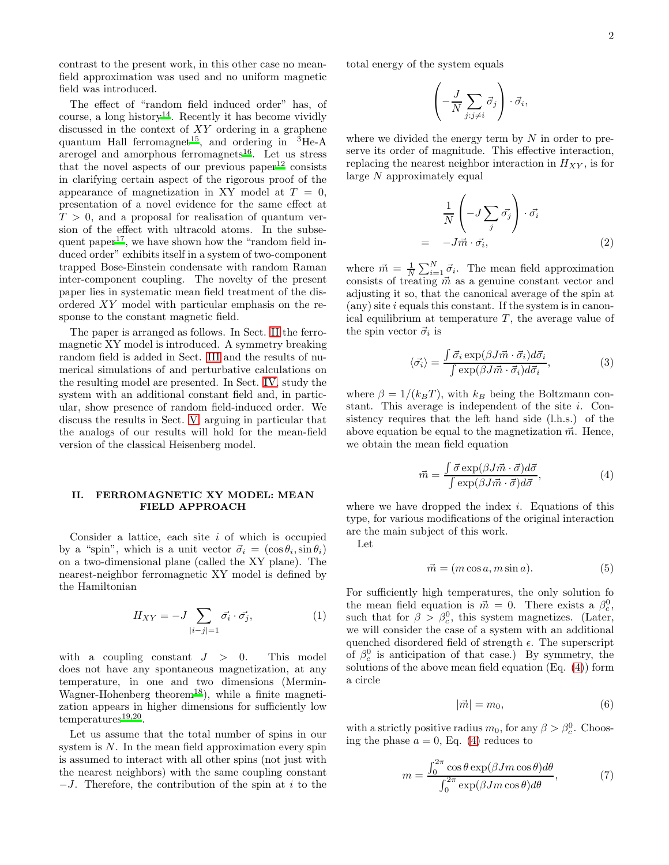contrast to the present work, in this other case no meanfield approximation was used and no uniform magnetic field was introduced.

The effect of "random field induced order" has, of course, a long history<sup>[14](#page-10-13)</sup>. Recently it has become vividly discussed in the context of XY ordering in a graphene quantum Hall ferromagnet<sup>[15](#page-10-14)</sup>, and ordering in  ${}^{3}$ He-A are rogel and amorphous ferromagnets<sup>[16](#page-10-15)</sup>. Let us stress that the novel aspects of our previous paper $12$  consists in clarifying certain aspect of the rigorous proof of the appearance of magnetization in XY model at  $T = 0$ , presentation of a novel evidence for the same effect at  $T > 0$ , and a proposal for realisation of quantum version of the effect with ultracold atoms. In the subse-quent paper<sup>[17](#page-10-16)</sup>, we have shown how the "random field induced order" exhibits itself in a system of two-component trapped Bose-Einstein condensate with random Raman inter-component coupling. The novelty of the present paper lies in systematic mean field treatment of the disordered XY model with particular emphasis on the response to the constant magnetic field.

The paper is arranged as follows. In Sect. [II](#page-1-0) the ferromagnetic XY model is introduced. A symmetry breaking random field is added in Sect. [III](#page-2-0) and the results of numerical simulations of and perturbative calculations on the resulting model are presented. In Sect. [IV,](#page-5-0) study the system with an additional constant field and, in particular, show presence of random field-induced order. We discuss the results in Sect. [V,](#page-9-0) arguing in particular that the analogs of our results will hold for the mean-field version of the classical Heisenberg model.

# <span id="page-1-0"></span>II. FERROMAGNETIC XY MODEL: MEAN FIELD APPROACH

Consider a lattice, each site  $i$  of which is occupied by a "spin", which is a unit vector  $\vec{\sigma}_i = (\cos \theta_i, \sin \theta_i)$ on a two-dimensional plane (called the XY plane). The nearest-neighbor ferromagnetic XY model is defined by the Hamiltonian

<span id="page-1-3"></span>
$$
H_{XY} = -J \sum_{|i-j|=1} \vec{\sigma_i} \cdot \vec{\sigma_j},\tag{1}
$$

with a coupling constant  $J > 0$ . This model does not have any spontaneous magnetization, at any temperature, in one and two dimensions (Mermin-Wagner-Hohenberg theorem<sup>[18](#page-10-17)</sup>), while a finite magnetization appears in higher dimensions for sufficiently low temperatures<sup>[19](#page-11-0)[,20](#page-11-1)</sup>.

Let us assume that the total number of spins in our system is  $N$ . In the mean field approximation every spin is assumed to interact with all other spins (not just with the nearest neighbors) with the same coupling constant  $-J$ . Therefore, the contribution of the spin at i to the total energy of the system equals

$$
\left(-\frac{J}{N}\sum_{j:j\neq i}\vec{\sigma}_j\right)\cdot\vec{\sigma}_i,
$$

where we divided the energy term by  $N$  in order to preserve its order of magnitude. This effective interaction, replacing the nearest neighbor interaction in  $H_{XY}$ , is for large N approximately equal

$$
\frac{1}{N} \left( -J \sum_{j} \vec{\sigma_j} \right) \cdot \vec{\sigma_i} \\
= -J \vec{m} \cdot \vec{\sigma_i},
$$
\n(2)

where  $\vec{m} = \frac{1}{N} \sum_{i=1}^{N} \vec{\sigma}_i$ . The mean field approximation consists of treating  $\vec{m}$  as a genuine constant vector and adjusting it so, that the canonical average of the spin at  $(\text{any})$  site i equals this constant. If the system is in canonical equilibrium at temperature  $T$ , the average value of the spin vector  $\vec{\sigma}_i$  is

$$
\langle \vec{\sigma_i} \rangle = \frac{\int \vec{\sigma_i} \exp(\beta J \vec{m} \cdot \vec{\sigma_i}) d\vec{\sigma_i}}{\int \exp(\beta J \vec{m} \cdot \vec{\sigma_i}) d\vec{\sigma_i}},\tag{3}
$$

where  $\beta = 1/(k_BT)$ , with  $k_B$  being the Boltzmann constant. This average is independent of the site  $i$ . Consistency requires that the left hand side (l.h.s.) of the above equation be equal to the magnetization  $\vec{m}$ . Hence, we obtain the mean field equation

<span id="page-1-1"></span>
$$
\vec{m} = \frac{\int \vec{\sigma} \exp(\beta J \vec{m} \cdot \vec{\sigma}) d\vec{\sigma}}{\int \exp(\beta J \vec{m} \cdot \vec{\sigma}) d\vec{\sigma}},\tag{4}
$$

where we have dropped the index  $i$ . Equations of this type, for various modifications of the original interaction are the main subject of this work.

Let

$$
\vec{m} = (m\cos a, m\sin a). \tag{5}
$$

For sufficiently high temperatures, the only solution fo the mean field equation is  $\vec{m} = 0$ . There exists a  $\beta_c^0$ , such that for  $\beta > \beta_c^0$ , this system magnetizes. (Later, we will consider the case of a system with an additional quenched disordered field of strength  $\epsilon$ . The superscript of  $\beta_c^0$  is anticipation of that case.) By symmetry, the solutions of the above mean field equation (Eq. [\(4\)](#page-1-1)) form a circle

<span id="page-1-4"></span>
$$
|\vec{m}| = m_0,\t\t(6)
$$

with a strictly positive radius  $m_0$ , for any  $\beta > \beta_c^0$ . Choosing the phase  $a = 0$ , Eq. [\(4\)](#page-1-1) reduces to

<span id="page-1-2"></span>
$$
m = \frac{\int_0^{2\pi} \cos\theta \exp(\beta J m \cos\theta) d\theta}{\int_0^{2\pi} \exp(\beta J m \cos\theta) d\theta},
$$
 (7)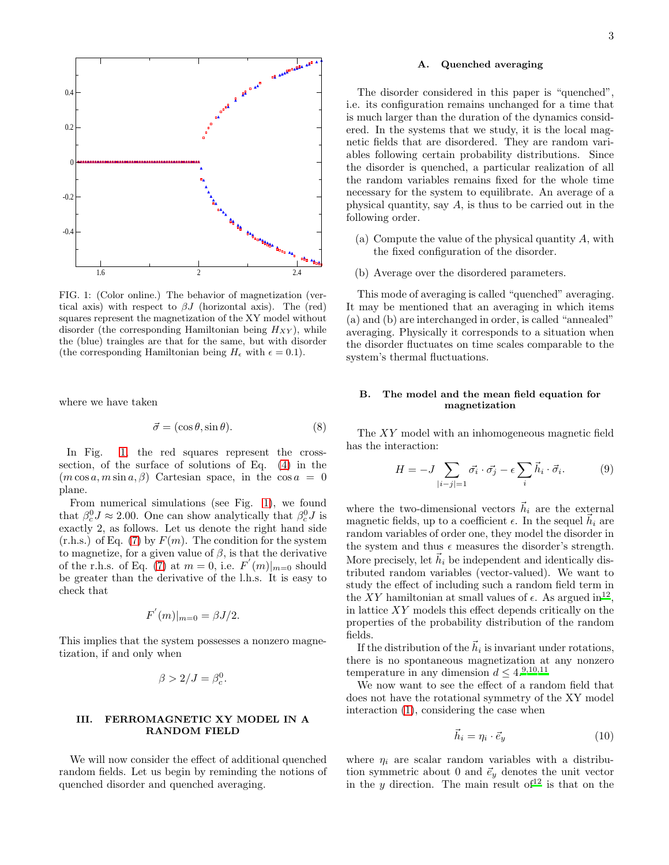

<span id="page-2-1"></span>FIG. 1: (Color online.) The behavior of magnetization (vertical axis) with respect to  $\beta J$  (horizontal axis). The (red) squares represent the magnetization of the XY model without disorder (the corresponding Hamiltonian being  $H_{XY}$ ), while the (blue) traingles are that for the same, but with disorder (the corresponding Hamiltonian being  $H_{\epsilon}$  with  $\epsilon = 0.1$ ).

where we have taken

$$
\vec{\sigma} = (\cos \theta, \sin \theta). \tag{8}
$$

In Fig. [1,](#page-2-1) the red squares represent the crosssection, of the surface of solutions of Eq. [\(4\)](#page-1-1) in the  $(m \cos a, m \sin a, \beta)$  Cartesian space, in the  $\cos a = 0$ plane.

From numerical simulations (see Fig. [1\)](#page-2-1), we found that  $\beta_c^0 J \approx 2.00$ . One can show analytically that  $\beta_c^0 J$  is exactly 2, as follows. Let us denote the right hand side  $(r.h.s.)$  of Eq. [\(7\)](#page-1-2) by  $F(m)$ . The condition for the system to magnetize, for a given value of  $\beta$ , is that the derivative of the r.h.s. of Eq. [\(7\)](#page-1-2) at  $m = 0$ , i.e.  $F'(m)|_{m=0}$  should be greater than the derivative of the l.h.s. It is easy to check that

$$
F^{'}(m)|_{m=0} = \beta J/2.
$$

This implies that the system possesses a nonzero magnetization, if and only when

$$
\beta > 2/J = \beta_c^0.
$$

# <span id="page-2-0"></span>III. FERROMAGNETIC XY MODEL IN A RANDOM FIELD

We will now consider the effect of additional quenched random fields. Let us begin by reminding the notions of quenched disorder and quenched averaging.

#### A. Quenched averaging

The disorder considered in this paper is "quenched", i.e. its configuration remains unchanged for a time that is much larger than the duration of the dynamics considered. In the systems that we study, it is the local magnetic fields that are disordered. They are random variables following certain probability distributions. Since the disorder is quenched, a particular realization of all the random variables remains fixed for the whole time necessary for the system to equilibrate. An average of a physical quantity, say  $A$ , is thus to be carried out in the following order.

- (a) Compute the value of the physical quantity A, with the fixed configuration of the disorder.
- (b) Average over the disordered parameters.

This mode of averaging is called "quenched" averaging. It may be mentioned that an averaging in which items (a) and (b) are interchanged in order, is called "annealed" averaging. Physically it corresponds to a situation when the disorder fluctuates on time scales comparable to the system's thermal fluctuations.

#### B. The model and the mean field equation for magnetization

The XY model with an inhomogeneous magnetic field has the interaction:

$$
H = -J \sum_{|i-j|=1} \vec{\sigma_i} \cdot \vec{\sigma_j} - \epsilon \sum_i \vec{h_i} \cdot \vec{\sigma_i}.
$$
 (9)

where the two-dimensional vectors  $\vec{h}_i$  are the external magnetic fields, up to a coefficient  $\epsilon$ . In the sequel  $\tilde{h}_i$  are random variables of order one, they model the disorder in the system and thus  $\epsilon$  measures the disorder's strength. More precisely, let  $\vec{h}_i$  be independent and identically distributed random variables (vector-valued). We want to study the effect of including such a random field term in the XY hamiltonian at small values of  $\epsilon$ . As argued in<sup>[12](#page-10-11)</sup>, in lattice XY models this effect depends critically on the properties of the probability distribution of the random fields.

If the distribution of the  $\vec{h}_i$  is invariant under rotations, there is no spontaneous magnetization at any nonzero temperature in any dimension  $d \leq 4.^{9,10,11}$  $d \leq 4.^{9,10,11}$  $d \leq 4.^{9,10,11}$  $d \leq 4.^{9,10,11}$  $d \leq 4.^{9,10,11}$ 

We now want to see the effect of a random field that does not have the rotational symmetry of the XY model interaction [\(1\)](#page-1-3), considering the case when

$$
\vec{h}_i = \eta_i \cdot \vec{e}_y \tag{10}
$$

where  $\eta_i$  are scalar random variables with a distribution symmetric about 0 and  $\vec{e}_y$  denotes the unit vector in the y direction. The main result of  $12$  is that on the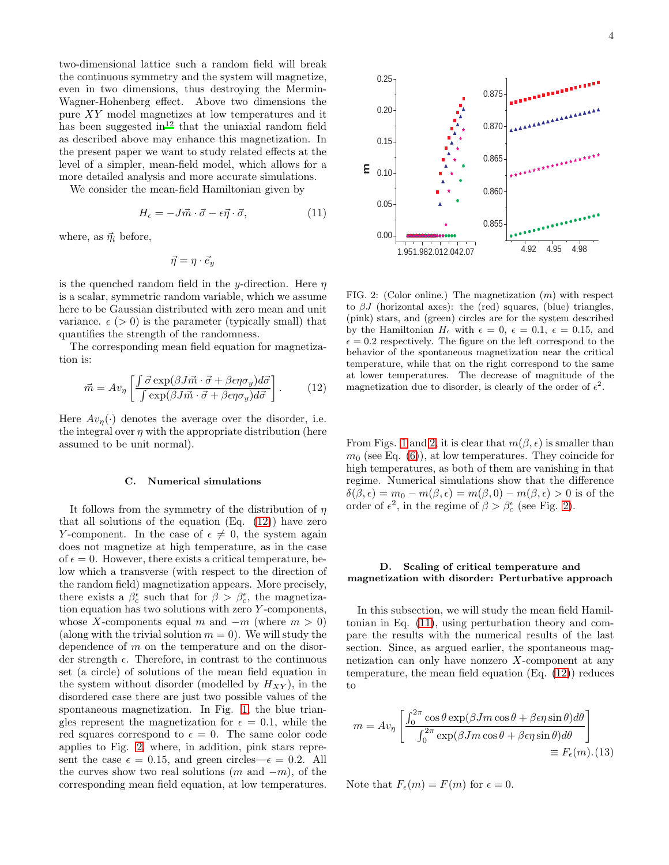two-dimensional lattice such a random field will break the continuous symmetry and the system will magnetize, even in two dimensions, thus destroying the Mermin-Wagner-Hohenberg effect. Above two dimensions the pure XY model magnetizes at low temperatures and it has been suggested  $\overline{m}^{12}$  $\overline{m}^{12}$  $\overline{m}^{12}$  that the uniaxial random field as described above may enhance this magnetization. In the present paper we want to study related effects at the level of a simpler, mean-field model, which allows for a more detailed analysis and more accurate simulations.

We consider the mean-field Hamiltonian given by

<span id="page-3-2"></span>
$$
H_{\epsilon} = -J\vec{m} \cdot \vec{\sigma} - \epsilon \vec{\eta} \cdot \vec{\sigma},\tag{11}
$$

where, as  $\vec{\eta}_i$  before,

$$
\vec{\eta}=\eta\cdot\vec{e}_y
$$

is the quenched random field in the y-direction. Here  $\eta$ is a scalar, symmetric random variable, which we assume here to be Gaussian distributed with zero mean and unit variance.  $\epsilon$  ( $> 0$ ) is the parameter (typically small) that quantifies the strength of the randomness.

The corresponding mean field equation for magnetization is:

<span id="page-3-0"></span>
$$
\vec{m} = Av_{\eta} \left[ \frac{\int \vec{\sigma} \exp(\beta J \vec{m} \cdot \vec{\sigma} + \beta \epsilon \eta \sigma_y) d\vec{\sigma}}{\int \exp(\beta J \vec{m} \cdot \vec{\sigma} + \beta \epsilon \eta \sigma_y) d\vec{\sigma}} \right].
$$
 (12)

Here  $Av_n(\cdot)$  denotes the average over the disorder, i.e. the integral over  $\eta$  with the appropriate distribution (here assumed to be unit normal).

#### C. Numerical simulations

It follows from the symmetry of the distribution of  $\eta$ that all solutions of the equation  $(Eq. (12))$  $(Eq. (12))$  $(Eq. (12))$  have zero Y-component. In the case of  $\epsilon \neq 0$ , the system again does not magnetize at high temperature, as in the case of  $\epsilon = 0$ . However, there exists a critical temperature, below which a transverse (with respect to the direction of the random field) magnetization appears. More precisely, there exists a  $\beta_c^{\epsilon}$  such that for  $\beta > \beta_c^{\epsilon}$ , the magnetization equation has two solutions with zero Y -components, whose X-components equal m and  $-m$  (where  $m > 0$ ) (along with the trivial solution  $m = 0$ ). We will study the dependence of m on the temperature and on the disorder strength  $\epsilon$ . Therefore, in contrast to the continuous set (a circle) of solutions of the mean field equation in the system without disorder (modelled by  $H_{XY}$ ), in the disordered case there are just two possible values of the spontaneous magnetization. In Fig. [1,](#page-2-1) the blue triangles represent the magnetization for  $\epsilon = 0.1$ , while the red squares correspond to  $\epsilon = 0$ . The same color code applies to Fig. [2,](#page-3-1) where, in addition, pink stars represent the case  $\epsilon = 0.15$ , and green circles— $\epsilon = 0.2$ . All the curves show two real solutions  $(m \text{ and } -m)$ , of the corresponding mean field equation, at low temperatures.



<span id="page-3-1"></span>FIG. 2: (Color online.) The magnetization  $(m)$  with respect to  $\beta J$  (horizontal axes): the (red) squares, (blue) triangles, (pink) stars, and (green) circles are for the system described by the Hamiltonian  $H_{\epsilon}$  with  $\epsilon = 0, \ \epsilon = 0.1, \ \epsilon = 0.15, \text{ and}$  $\epsilon = 0.2$  respectively. The figure on the left correspond to the behavior of the spontaneous magnetization near the critical temperature, while that on the right correspond to the same at lower temperatures. The decrease of magnitude of the magnetization due to disorder, is clearly of the order of  $\epsilon^2$ .

From Figs. [1](#page-2-1) and [2,](#page-3-1) it is clear that  $m(\beta, \epsilon)$  is smaller than  $m_0$  (see Eq. [\(6\)](#page-1-4)), at low temperatures. They coincide for high temperatures, as both of them are vanishing in that regime. Numerical simulations show that the difference  $\delta(\beta, \epsilon) = m_0 - m(\beta, \epsilon) = m(\beta, 0) - m(\beta, \epsilon) > 0$  is of the order of  $\epsilon^2$ , in the regime of  $\beta > \beta_c^{\epsilon}$  (see Fig. [2\)](#page-3-1).

# D. Scaling of critical temperature and magnetization with disorder: Perturbative approach

In this subsection, we will study the mean field Hamiltonian in Eq. [\(11\)](#page-3-2), using perturbation theory and compare the results with the numerical results of the last section. Since, as argued earlier, the spontaneous magnetization can only have nonzero  $X$ -component at any temperature, the mean field equation (Eq. [\(12\)](#page-3-0)) reduces to

$$
m = Av_{\eta} \left[ \frac{\int_0^{2\pi} \cos \theta \exp(\beta J m \cos \theta + \beta \epsilon \eta \sin \theta) d\theta}{\int_0^{2\pi} \exp(\beta J m \cos \theta + \beta \epsilon \eta \sin \theta) d\theta} \right]
$$
  

$$
\equiv F_{\epsilon}(m). (13)
$$

Note that  $F_{\epsilon}(m) = F(m)$  for  $\epsilon = 0$ .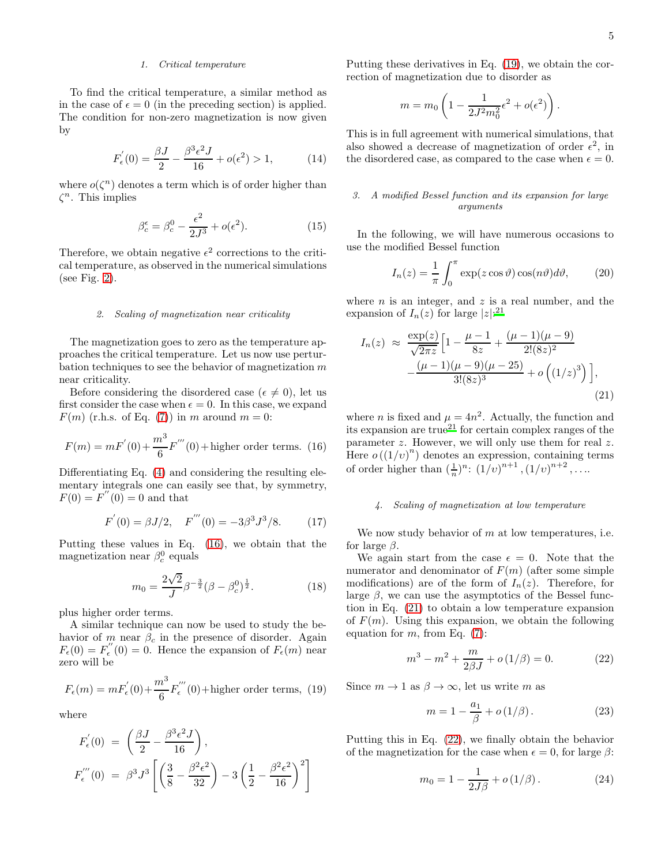### 1. Critical temperature

To find the critical temperature, a similar method as in the case of  $\epsilon = 0$  (in the preceding section) is applied. The condition for non-zero magnetization is now given by

$$
F'_{\epsilon}(0) = \frac{\beta J}{2} - \frac{\beta^3 \epsilon^2 J}{16} + o(\epsilon^2) > 1,
$$
 (14)

where  $o(\zeta^n)$  denotes a term which is of order higher than  $\zeta^n$ . This implies

$$
\beta_c^{\epsilon} = \beta_c^0 - \frac{\epsilon^2}{2J^3} + o(\epsilon^2). \tag{15}
$$

Therefore, we obtain negative  $\epsilon^2$  corrections to the critical temperature, as observed in the numerical simulations (see Fig. [2\)](#page-3-1).

#### <span id="page-4-4"></span>2. Scaling of magnetization near criticality

The magnetization goes to zero as the temperature approaches the critical temperature. Let us now use perturbation techniques to see the behavior of magnetization  $m$ near criticality.

Before considering the disordered case ( $\epsilon \neq 0$ ), let us first consider the case when  $\epsilon = 0$ . In this case, we expand  $F(m)$  (r.h.s. of Eq. [\(7\)](#page-1-2)) in m around  $m = 0$ :

<span id="page-4-0"></span>
$$
F(m) = mF'(0) + \frac{m^3}{6}F'''(0) + \text{higher order terms.}
$$
 (16)

Differentiating Eq. [\(4\)](#page-1-1) and considering the resulting elementary integrals one can easily see that, by symmetry,  $F(0) = F''(0) = 0$  and that

$$
F'(0) = \beta J/2, \quad F'''(0) = -3\beta^3 J^3/8.
$$
 (17)

Putting these values in Eq. [\(16\)](#page-4-0), we obtain that the magnetization near  $\beta_c^0$  equals

$$
m_0 = \frac{2\sqrt{2}}{J} \beta^{-\frac{3}{2}} (\beta - \beta_c^0)^{\frac{1}{2}}.
$$
 (18)

plus higher order terms.

A similar technique can now be used to study the behavior of m near  $\beta_c$  in the presence of disorder. Again  $F_{\epsilon}(0) = F_{\epsilon}^{''}$  $F_{\epsilon}(0) = 0$ . Hence the expansion of  $F_{\epsilon}(m)$  near zero will be

<span id="page-4-1"></span>
$$
F_{\epsilon}(m) = mF_{\epsilon}^{'}(0) + \frac{m^3}{6}F_{\epsilon}^{'''}(0) + \text{higher order terms},
$$
 (19)

where

$$
F'_{\epsilon}(0) = \left(\frac{\beta J}{2} - \frac{\beta^3 \epsilon^2 J}{16}\right),
$$
  

$$
F''_{\epsilon}(0) = \beta^3 J^3 \left[ \left(\frac{3}{8} - \frac{\beta^2 \epsilon^2}{32}\right) - 3\left(\frac{1}{2} - \frac{\beta^2 \epsilon^2}{16}\right)^2 \right]
$$

Putting these derivatives in Eq. [\(19\)](#page-4-1), we obtain the correction of magnetization due to disorder as

$$
m = m_0 \left( 1 - \frac{1}{2J^2 m_0^2} \epsilon^2 + o(\epsilon^2) \right).
$$

This is in full agreement with numerical simulations, that also showed a decrease of magnetization of order  $\epsilon^2$ , in the disordered case, as compared to the case when  $\epsilon = 0$ .

# 3. A modified Bessel function and its expansion for large arguments

In the following, we will have numerous occasions to use the modified Bessel function

$$
I_n(z) = \frac{1}{\pi} \int_0^{\pi} \exp(z \cos \vartheta) \cos(n\vartheta) d\vartheta, \qquad (20)
$$

where  $n$  is an integer, and  $z$  is a real number, and the expansion of  $I_n(z)$  for large  $|z|$ :<sup>[21](#page-11-2)</sup>

<span id="page-4-2"></span>
$$
I_n(z) \approx \frac{\exp(z)}{\sqrt{2\pi z}} \Big[ 1 - \frac{\mu - 1}{8z} + \frac{(\mu - 1)(\mu - 9)}{2!(8z)^2} - \frac{(\mu - 1)(\mu - 9)(\mu - 25)}{3!(8z)^3} + o\left((1/z)^3\right) \Big],
$$
\n(21)

where *n* is fixed and  $\mu = 4n^2$ . Actually, the function and its expansion are  $true^{21}$  $true^{21}$  $true^{21}$  for certain complex ranges of the parameter z. However, we will only use them for real z. Here  $o((1/v)^n)$  denotes an expression, containing terms of order higher than  $\left(\frac{1}{n}\right)^n$ :  $\left(1/v\right)^{n+1}$ ,  $\left(1/v\right)^{n+2}$ , ...

### 4. Scaling of magnetization at low temperature

We now study behavior of  $m$  at low temperatures, i.e. for large  $\beta$ .

We again start from the case  $\epsilon = 0$ . Note that the numerator and denominator of  $F(m)$  (after some simple modifications) are of the form of  $I_n(z)$ . Therefore, for large  $\beta$ , we can use the asymptotics of the Bessel function in Eq. [\(21\)](#page-4-2) to obtain a low temperature expansion of  $F(m)$ . Using this expansion, we obtain the following equation for  $m$ , from Eq. [\(7\)](#page-1-2):

<span id="page-4-3"></span>
$$
m^3 - m^2 + \frac{m}{2\beta J} + o(1/\beta) = 0.
$$
 (22)

Since  $m \to 1$  as  $\beta \to \infty$ , let us write m as

$$
m = 1 - \frac{a_1}{\beta} + o(1/\beta).
$$
 (23)

Putting this in Eq. [\(22\)](#page-4-3), we finally obtain the behavior of the magnetization for the case when  $\epsilon = 0$ , for large  $\beta$ :

$$
m_0 = 1 - \frac{1}{2J\beta} + o(1/\beta). \tag{24}
$$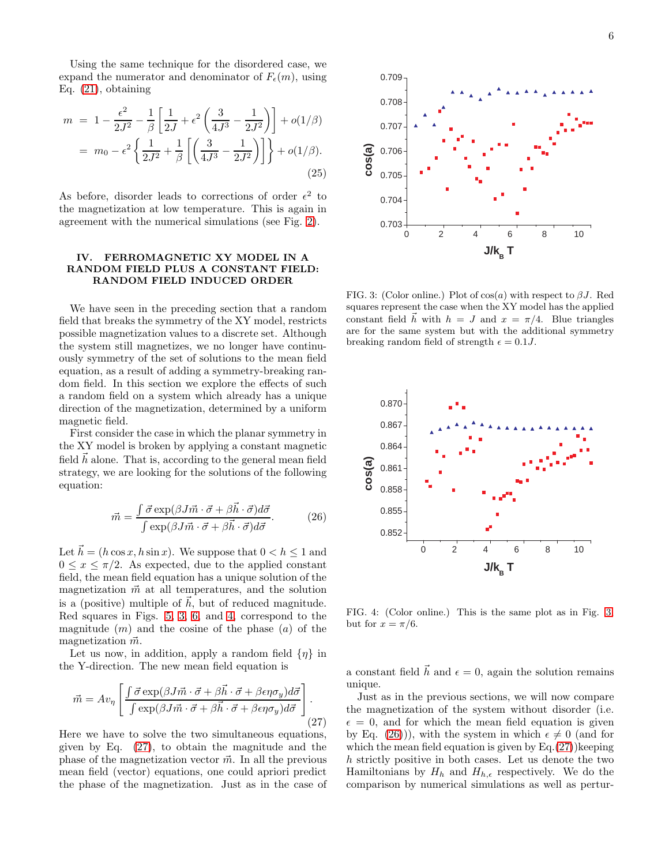Using the same technique for the disordered case, we expand the numerator and denominator of  $F_{\epsilon}(m)$ , using Eq. [\(21\)](#page-4-2), obtaining

$$
m = 1 - \frac{\epsilon^2}{2J^2} - \frac{1}{\beta} \left[ \frac{1}{2J} + \epsilon^2 \left( \frac{3}{4J^3} - \frac{1}{2J^2} \right) \right] + o(1/\beta)
$$
  
=  $m_0 - \epsilon^2 \left\{ \frac{1}{2J^2} + \frac{1}{\beta} \left[ \left( \frac{3}{4J^3} - \frac{1}{2J^2} \right) \right] \right\} + o(1/\beta).$  (25)

As before, disorder leads to corrections of order  $\epsilon^2$  to the magnetization at low temperature. This is again in agreement with the numerical simulations (see Fig. [2\)](#page-3-1).

### <span id="page-5-0"></span>IV. FERROMAGNETIC XY MODEL IN A RANDOM FIELD PLUS A CONSTANT FIELD: RANDOM FIELD INDUCED ORDER

We have seen in the preceding section that a random field that breaks the symmetry of the XY model, restricts possible magnetization values to a discrete set. Although the system still magnetizes, we no longer have continuously symmetry of the set of solutions to the mean field equation, as a result of adding a symmetry-breaking random field. In this section we explore the effects of such a random field on a system which already has a unique direction of the magnetization, determined by a uniform magnetic field.

First consider the case in which the planar symmetry in the XY model is broken by applying a constant magnetic field  $h$  alone. That is, according to the general mean field strategy, we are looking for the solutions of the following equation:

<span id="page-5-4"></span>
$$
\vec{m} = \frac{\int \vec{\sigma} \exp(\beta J \vec{m} \cdot \vec{\sigma} + \beta \vec{h} \cdot \vec{\sigma}) d\vec{\sigma}}{\int \exp(\beta J \vec{m} \cdot \vec{\sigma} + \beta \vec{h} \cdot \vec{\sigma}) d\vec{\sigma}}.
$$
(26)

Let  $\vec{h} = (h \cos x, h \sin x)$ . We suppose that  $0 < h \leq 1$  and  $0 \leq x \leq \pi/2$ . As expected, due to the applied constant field, the mean field equation has a unique solution of the magnetization  $\vec{m}$  at all temperatures, and the solution is a (positive) multiple of  $\vec{h}$ , but of reduced magnitude. Red squares in Figs. [5,](#page-6-0) [3,](#page-5-1) [6,](#page-6-1) and [4,](#page-5-2) correspond to the magnitude  $(m)$  and the cosine of the phase  $(a)$  of the magnetization  $\vec{m}$ .

Let us now, in addition, apply a random field  $\{\eta\}$  in the Y-direction. The new mean field equation is

<span id="page-5-3"></span>
$$
\vec{m} = Av_{\eta} \left[ \frac{\int \vec{\sigma} \exp(\beta J \vec{m} \cdot \vec{\sigma} + \beta \vec{h} \cdot \vec{\sigma} + \beta \epsilon \eta \sigma_y) d\vec{\sigma}}{\int \exp(\beta J \vec{m} \cdot \vec{\sigma} + \beta \vec{h} \cdot \vec{\sigma} + \beta \epsilon \eta \sigma_y) d\vec{\sigma}} \right].
$$
\n(27)

Here we have to solve the two simultaneous equations, given by Eq. [\(27\)](#page-5-3), to obtain the magnitude and the phase of the magnetization vector  $\vec{m}$ . In all the previous mean field (vector) equations, one could apriori predict the phase of the magnetization. Just as in the case of



<span id="page-5-1"></span>FIG. 3: (Color online.) Plot of  $cos(a)$  with respect to  $\beta J$ . Red squares represent the case when the XY model has the applied constant field  $\vec{h}$  with  $h = J$  and  $x = \pi/4$ . Blue triangles are for the same system but with the additional symmetry breaking random field of strength  $\epsilon = 0.1J$ .



<span id="page-5-2"></span>FIG. 4: (Color online.) This is the same plot as in Fig. [3,](#page-5-1) but for  $x = \pi/6$ .

a constant field  $\vec{h}$  and  $\epsilon = 0$ , again the solution remains unique.

Just as in the previous sections, we will now compare the magnetization of the system without disorder (i.e.  $\epsilon = 0$ , and for which the mean field equation is given by Eq. [\(26\)](#page-5-4)), with the system in which  $\epsilon \neq 0$  (and for which the mean field equation is given by  $Eq.(27)$  $Eq.(27)$ ) keeping h strictly positive in both cases. Let us denote the two Hamiltonians by  $H_h$  and  $H_{h,\epsilon}$  respectively. We do the comparison by numerical simulations as well as pertur-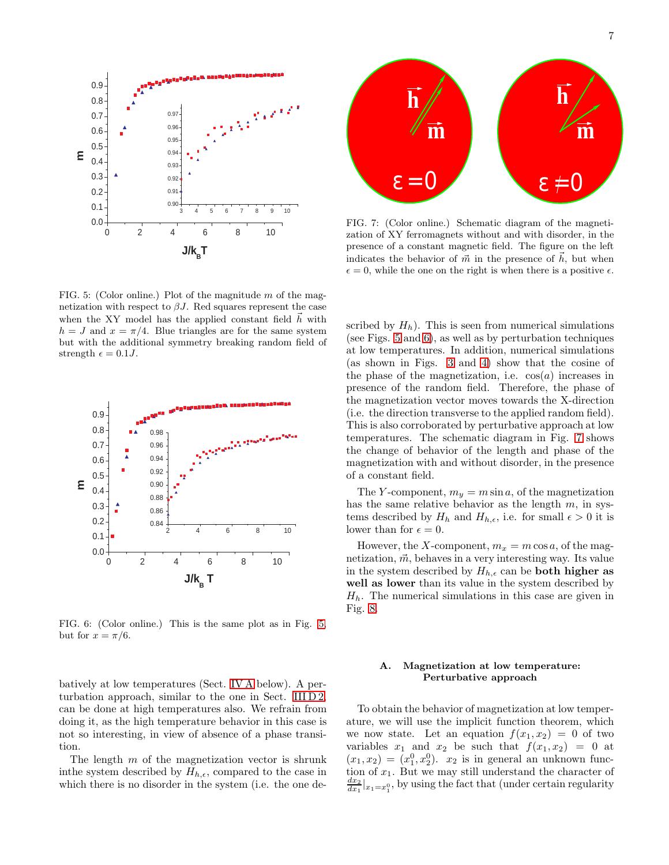

<span id="page-6-0"></span>FIG. 5: (Color online.) Plot of the magnitude  $m$  of the magnetization with respect to  $\beta J$ . Red squares represent the case when the XY model has the applied constant field  $h$  with  $h = J$  and  $x = \pi/4$ . Blue triangles are for the same system but with the additional symmetry breaking random field of strength  $\epsilon = 0.1J$ .



<span id="page-6-1"></span>FIG. 6: (Color online.) This is the same plot as in Fig. [5,](#page-6-0) but for  $x = \pi/6$ .

batively at low temperatures (Sect. [IV A](#page-6-2) below). A perturbation approach, similar to the one in Sect. III  $D_2$ , can be done at high temperatures also. We refrain from doing it, as the high temperature behavior in this case is not so interesting, in view of absence of a phase transition.

The length  $m$  of the magnetization vector is shrunk in the system described by  $H_{h,\epsilon}$ , compared to the case in which there is no disorder in the system (i.e. the one de-



<span id="page-6-3"></span>FIG. 7: (Color online.) Schematic diagram of the magnetization of XY ferromagnets without and with disorder, in the presence of a constant magnetic field. The figure on the left indicates the behavior of  $\vec{m}$  in the presence of  $\vec{h}$ , but when  $\epsilon = 0$ , while the one on the right is when there is a positive  $\epsilon$ .

scribed by  $H_h$ ). This is seen from numerical simulations (see Figs. [5](#page-6-0) and [6\)](#page-6-1), as well as by perturbation techniques at low temperatures. In addition, numerical simulations (as shown in Figs. [3](#page-5-1) and [4\)](#page-5-2) show that the cosine of the phase of the magnetization, i.e.  $cos(a)$  increases in presence of the random field. Therefore, the phase of the magnetization vector moves towards the X-direction (i.e. the direction transverse to the applied random field). This is also corroborated by perturbative approach at low temperatures. The schematic diagram in Fig. [7](#page-6-3) shows the change of behavior of the length and phase of the magnetization with and without disorder, in the presence of a constant field.

The Y-component,  $m_y = m \sin a$ , of the magnetization has the same relative behavior as the length  $m$ , in systems described by  $H_h$  and  $H_{h,\epsilon}$ , i.e. for small  $\epsilon > 0$  it is lower than for  $\epsilon = 0$ .

However, the X-component,  $m_x = m \cos a$ , of the magnetization,  $\vec{m}$ , behaves in a very interesting way. Its value in the system described by  $H_{h,\epsilon}$  can be **both higher as** well as lower than its value in the system described by  $H<sub>h</sub>$ . The numerical simulations in this case are given in Fig. [8.](#page-7-0)

# <span id="page-6-2"></span>A. Magnetization at low temperature: Perturbative approach

To obtain the behavior of magnetization at low temperature, we will use the implicit function theorem, which we now state. Let an equation  $f(x_1, x_2) = 0$  of two variables  $x_1$  and  $x_2$  be such that  $f(x_1, x_2) = 0$  at  $(x_1, x_2) = (x_1^0, x_2^0)$ .  $x_2$  is in general an unknown function of  $x_1$ . But we may still understand the character of  $\frac{dx_2}{dx_1}|_{x_1=x_1^0}$ , by using the fact that (under certain regularity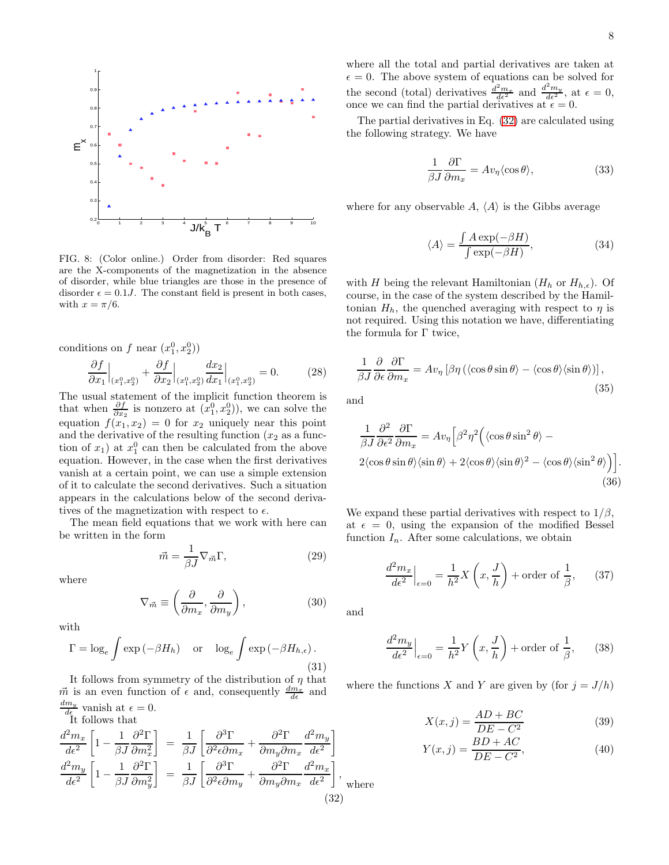

<span id="page-7-0"></span>FIG. 8: (Color online.) Order from disorder: Red squares are the X-components of the magnetization in the absence of disorder, while blue triangles are those in the presence of disorder  $\epsilon = 0.1J$ . The constant field is present in both cases, with  $x = \pi/6$ .

conditions on f near  $(x_1^0, x_2^0)$ 

$$
\frac{\partial f}{\partial x_1}\Big|_{(x_1^0, x_2^0)} + \frac{\partial f}{\partial x_2}\Big|_{(x_1^0, x_2^0)} \frac{dx_2}{dx_1}\Big|_{(x_1^0, x_2^0)} = 0. \tag{28}
$$

The usual statement of the implicit function theorem is that when  $\frac{\partial f}{\partial x_2}$  is nonzero at  $(x_1^0, x_2^0)$ , we can solve the equation  $f(x_1, x_2) = 0$  for  $x_2$  uniquely near this point and the derivative of the resulting function  $(x_2)$  as a function of  $x_1$ ) at  $x_1^0$  can then be calculated from the above equation. However, in the case when the first derivatives vanish at a certain point, we can use a simple extension of it to calculate the second derivatives. Such a situation appears in the calculations below of the second derivatives of the magnetization with respect to  $\epsilon$ .

The mean field equations that we work with here can be written in the form

$$
\vec{m} = \frac{1}{\beta J} \nabla_{\vec{m}} \Gamma,\tag{29}
$$

where

$$
\nabla_{\vec{m}} \equiv \left(\frac{\partial}{\partial m_x}, \frac{\partial}{\partial m_y}\right),\tag{30}
$$

with

$$
\Gamma = \log_e \int \exp\left(-\beta H_h\right) \quad \text{or} \quad \log_e \int \exp\left(-\beta H_{h,\epsilon}\right). \tag{31}
$$

It follows from symmetry of the distribution of  $\eta$  that  $\vec{m}$  is an even function of  $\epsilon$  and, consequently  $\frac{dm_x}{d\epsilon}$  and  $\frac{dm_y}{d\epsilon}$  vanish at  $\epsilon = 0$ .

<span id="page-7-1"></span>It follows that  
\n
$$
\frac{d^2m_x}{d\epsilon^2} \left[ 1 - \frac{1}{\beta J} \frac{\partial^2 \Gamma}{\partial m_x^2} \right] = \frac{1}{\beta J} \left[ \frac{\partial^3 \Gamma}{\partial^2 \epsilon \partial m_x} + \frac{\partial^2 \Gamma}{\partial m_y \partial m_x} \frac{d^2 m_y}{d\epsilon^2} \right]
$$
\n
$$
\frac{d^2m_y}{d\epsilon^2} \left[ 1 - \frac{1}{\beta J} \frac{\partial^2 \Gamma}{\partial m_y^2} \right] = \frac{1}{\beta J} \left[ \frac{\partial^3 \Gamma}{\partial^2 \epsilon \partial m_y} + \frac{\partial^2 \Gamma}{\partial m_y \partial m_x} \frac{d^2 m_x}{d\epsilon^2} \right],
$$
\n(32)

where all the total and partial derivatives are taken at  $\epsilon = 0$ . The above system of equations can be solved for the second (total) derivatives  $\frac{d^2 m_x}{d\epsilon^2}$  and  $\frac{d^2 m_y}{d\epsilon^2}$ , at  $\epsilon = 0$ , once we can find the partial derivatives at  $\epsilon = 0$ .

The partial derivatives in Eq. [\(32\)](#page-7-1) are calculated using the following strategy. We have

$$
\frac{1}{\beta J} \frac{\partial \Gamma}{\partial m_x} = A v_\eta \langle \cos \theta \rangle,\tag{33}
$$

where for any observable A,  $\langle A \rangle$  is the Gibbs average

$$
\langle A \rangle = \frac{\int A \exp(-\beta H)}{\int \exp(-\beta H)},\tag{34}
$$

with H being the relevant Hamiltonian  $(H_h \text{ or } H_{h,\epsilon})$ . Of course, in the case of the system described by the Hamiltonian  $H_h$ , the quenched averaging with respect to  $\eta$  is not required. Using this notation we have, differentiating the formula for Γ twice,

$$
\frac{1}{\beta J} \frac{\partial}{\partial \epsilon} \frac{\partial \Gamma}{\partial m_x} = A v_\eta \left[ \beta \eta \left( \langle \cos \theta \sin \theta \rangle - \langle \cos \theta \rangle \langle \sin \theta \rangle \right) \right],\tag{35}
$$

and

$$
\frac{1}{\beta J} \frac{\partial^2}{\partial \epsilon^2} \frac{\partial \Gamma}{\partial m_x} = A v_\eta \left[ \beta^2 \eta^2 \left( \langle \cos \theta \sin^2 \theta \rangle - 2 \langle \cos \theta \sin \theta \rangle \langle \sin \theta \rangle + 2 \langle \cos \theta \rangle \langle \sin \theta \rangle^2 - \langle \cos \theta \rangle \langle \sin^2 \theta \rangle \right) \right].
$$
\n(36)

We expand these partial derivatives with respect to  $1/\beta$ , at  $\epsilon = 0$ , using the expansion of the modified Bessel function  $I_n$ . After some calculations, we obtain

$$
\frac{d^2 m_x}{d\epsilon^2}\Big|_{\epsilon=0} = \frac{1}{h^2} X\left(x, \frac{J}{h}\right) + \text{order of } \frac{1}{\beta},\qquad(37)
$$

and

$$
\frac{d^2 m_y}{d\epsilon^2}\Big|_{\epsilon=0} = \frac{1}{h^2} Y\left(x, \frac{J}{h}\right) + \text{order of } \frac{1}{\beta},\qquad(38)
$$

where the functions X and Y are given by (for  $j = J/h$ )

<span id="page-7-2"></span>
$$
X(x,j) = \frac{AD + BC}{DE - C^2}
$$
 (39)

$$
Y(x,j) = \frac{BD + AC}{DE - C^2},\tag{40}
$$

ere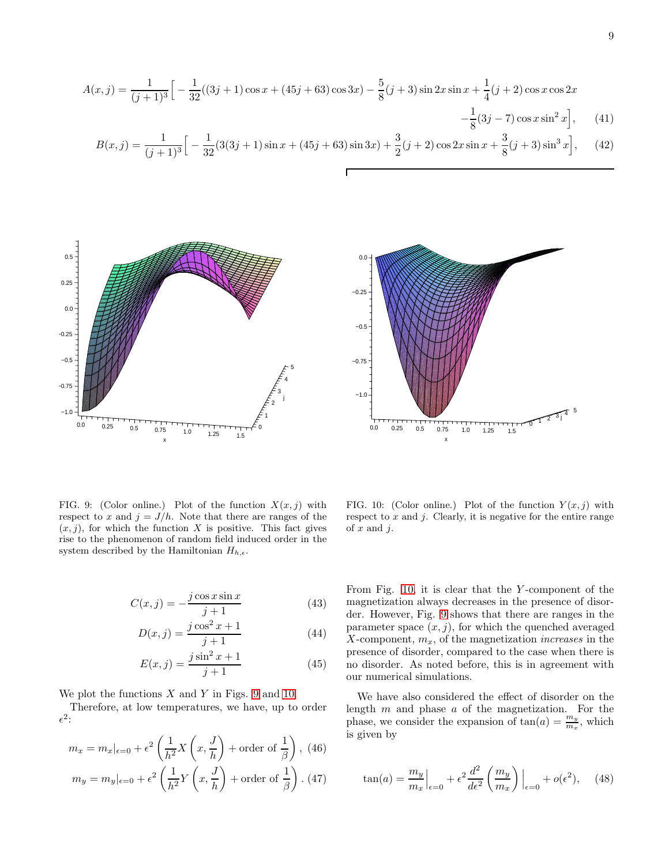$$
A(x,j) = \frac{1}{(j+1)^3} \Big[ -\frac{1}{32}((3j+1)\cos x + (45j+63)\cos 3x) - \frac{5}{8}(j+3)\sin 2x \sin x + \frac{1}{4}(j+2)\cos x \cos 2x - \frac{1}{8}(3j-7)\cos x \sin^2 x \Big], \qquad (41)
$$

$$
B(x,j) = \frac{1}{(j+1)^3} \Big[ -\frac{1}{32} (3(3j+1)\sin x + (45j+63)\sin 3x) + \frac{3}{2}(j+2)\cos 2x \sin x + \frac{3}{8}(j+3)\sin^3 x \Big], \quad (42)
$$





<span id="page-8-0"></span>FIG. 9: (Color online.) Plot of the function  $X(x, j)$  with respect to x and  $j = J/h$ . Note that there are ranges of the  $(x, j)$ , for which the function X is positive. This fact gives rise to the phenomenon of random field induced order in the system described by the Hamiltonian  $H_{h,\epsilon}$ .

$$
C(x,j) = -\frac{j\cos x \sin x}{j+1}
$$
\n(43)

$$
D(x,j) = \frac{j\cos^2 x + 1}{j+1}
$$
 (44)

$$
E(x,j) = \frac{j\sin^2 x + 1}{j+1}
$$
 (45)

We plot the functions  $X$  and  $Y$  in Figs. [9](#page-8-0) and [10.](#page-8-1)

Therefore, at low temperatures, we have, up to order  $\epsilon^2$ :

$$
m_x = m_x|_{\epsilon=0} + \epsilon^2 \left(\frac{1}{h^2} X\left(x, \frac{J}{h}\right) + \text{order of } \frac{1}{\beta}\right), (46)
$$

$$
m_y = m_y|_{\epsilon=0} + \epsilon^2 \left(\frac{1}{h^2} Y\left(x, \frac{J}{h}\right) + \text{order of } \frac{1}{\beta}\right). (47)
$$

<span id="page-8-1"></span>FIG. 10: (Color online.) Plot of the function  $Y(x, j)$  with respect to  $x$  and  $j$ . Clearly, it is negative for the entire range of  $x$  and  $j$ .

From Fig. [10,](#page-8-1) it is clear that the Y -component of the magnetization always decreases in the presence of disorder. However, Fig. [9](#page-8-0) shows that there are ranges in the parameter space  $(x, j)$ , for which the quenched averaged X-component,  $m_x$ , of the magnetization *increases* in the presence of disorder, compared to the case when there is no disorder. As noted before, this is in agreement with our numerical simulations.

We have also considered the effect of disorder on the length  $m$  and phase  $a$  of the magnetization. For the phase, we consider the expansion of  $tan(a) = \frac{m_y}{m_x}$ , which is given by

$$
\tan(a) = \frac{m_y}{m_x}\Big|_{\epsilon=0} + \epsilon^2 \frac{d^2}{d\epsilon^2} \left(\frac{m_y}{m_x}\right)\Big|_{\epsilon=0} + o(\epsilon^2), \quad (48)
$$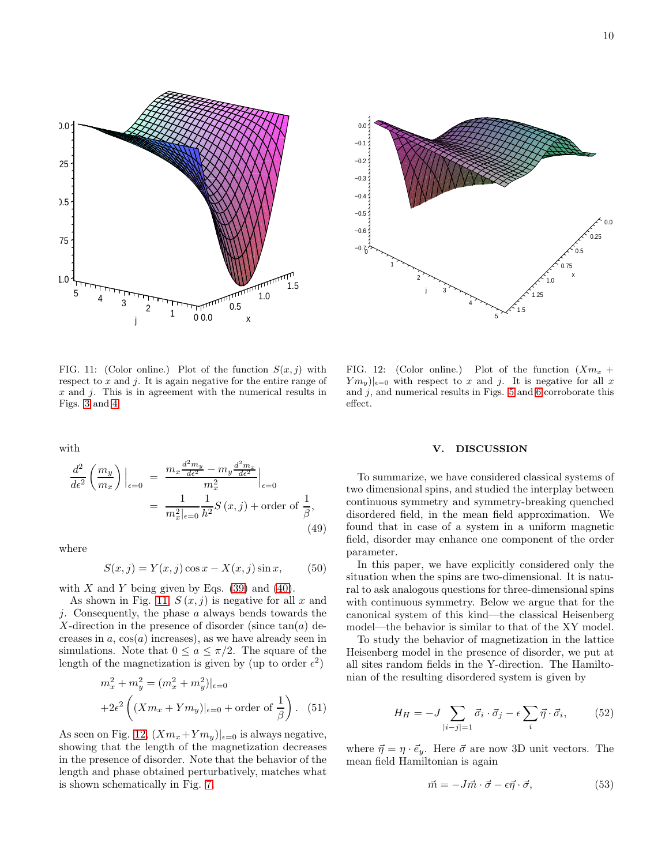



<span id="page-9-1"></span>FIG. 11: (Color online.) Plot of the function  $S(x, j)$  with respect to  $x$  and  $j$ . It is again negative for the entire range of  $x$  and  $\dot{\jmath}$ . This is in agreement with the numerical results in Figs. [3](#page-5-1) and [4.](#page-5-2)

with

$$
\frac{d^2}{d\epsilon^2} \left( \frac{m_y}{m_x} \right) \Big|_{\epsilon=0} = \frac{m_x \frac{d^2 m_y}{d\epsilon^2} - m_y \frac{d^2 m_x}{d\epsilon^2}}{m_x^2} \Big|_{\epsilon=0}
$$

$$
= \frac{1}{m_x^2|_{\epsilon=0}} \frac{1}{h^2} S(x,j) + \text{order of } \frac{1}{\beta}, \tag{49}
$$

where

$$
S(x, j) = Y(x, j) \cos x - X(x, j) \sin x,\tag{50}
$$

with  $X$  and  $Y$  being given by Eqs. [\(39\)](#page-7-2) and [\(40\)](#page-7-2).

As shown in Fig. [11,](#page-9-1)  $S(x, j)$  is negative for all x and j. Consequently, the phase  $a$  always bends towards the X-direction in the presence of disorder (since  $tan(a)$  decreases in  $a, \cos(a)$  increases), as we have already seen in simulations. Note that  $0 \le a \le \pi/2$ . The square of the length of the magnetization is given by (up to order  $\epsilon^2$ )

$$
m_x^2 + m_y^2 = (m_x^2 + m_y^2)|_{\epsilon=0}
$$
  
+2 $\epsilon^2$   $\left( (Xm_x + Ym_y)|_{\epsilon=0} + \text{order of } \frac{1}{\beta} \right)$ . (51)

As seen on Fig. [12,](#page-9-2)  $(Xm_x+Ym_y)|_{\epsilon=0}$  is always negative, showing that the length of the magnetization decreases in the presence of disorder. Note that the behavior of the length and phase obtained perturbatively, matches what is shown schematically in Fig. [7.](#page-6-3)

<span id="page-9-2"></span>FIG. 12: (Color online.) Plot of the function  $(Xm_x +$  ${Ym_y}|_{\epsilon=0}$  with respect to x and j. It is negative for all x and  $j$ , and numerical results in Figs. [5](#page-6-0) and [6](#page-6-1) corroborate this effect.

#### <span id="page-9-0"></span>V. DISCUSSION

To summarize, we have considered classical systems of two dimensional spins, and studied the interplay between continuous symmetry and symmetry-breaking quenched disordered field, in the mean field approximation. We found that in case of a system in a uniform magnetic field, disorder may enhance one component of the order parameter.

In this paper, we have explicitly considered only the situation when the spins are two-dimensional. It is natural to ask analogous questions for three-dimensional spins with continuous symmetry. Below we argue that for the canonical system of this kind—the classical Heisenberg model—the behavior is similar to that of the XY model.

To study the behavior of magnetization in the lattice Heisenberg model in the presence of disorder, we put at all sites random fields in the Y-direction. The Hamiltonian of the resulting disordered system is given by

$$
H_H = -J \sum_{|i-j|=1} \vec{\sigma}_i \cdot \vec{\sigma}_j - \epsilon \sum_i \vec{\eta} \cdot \vec{\sigma}_i, \qquad (52)
$$

where  $\vec{\eta} = \eta \cdot \vec{e}_y$ . Here  $\vec{\sigma}$  are now 3D unit vectors. The mean field Hamiltonian is again

$$
\vec{m} = -J\vec{m} \cdot \vec{\sigma} - \epsilon \vec{\eta} \cdot \vec{\sigma},\tag{53}
$$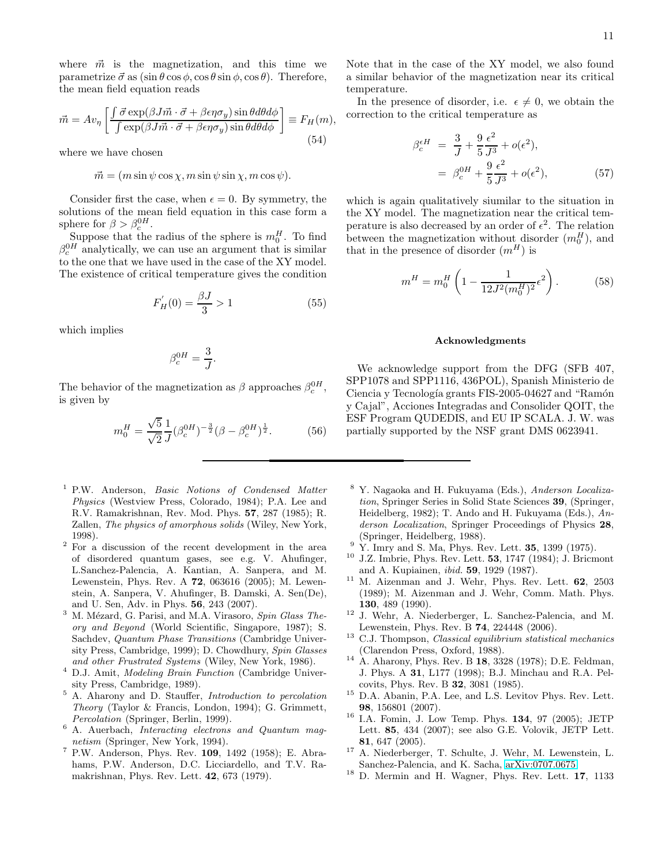where  $\vec{m}$  is the magnetization, and this time we parametrize  $\vec{\sigma}$  as  $(\sin \theta \cos \phi, \cos \theta \sin \phi, \cos \theta)$ . Therefore, the mean field equation reads

$$
\vec{m} = Av_{\eta} \left[ \frac{\int \vec{\sigma} \exp(\beta J \vec{m} \cdot \vec{\sigma} + \beta \epsilon \eta \sigma_y) \sin \theta d\theta d\phi}{\int \exp(\beta J \vec{m} \cdot \vec{\sigma} + \beta \epsilon \eta \sigma_y) \sin \theta d\theta d\phi} \right] \equiv F_H(m),\tag{54}
$$

where we have chosen

 $\vec{m} = (m \sin \psi \cos \chi, m \sin \psi \sin \chi, m \cos \psi).$ 

Consider first the case, when  $\epsilon = 0$ . By symmetry, the solutions of the mean field equation in this case form a sphere for  $\beta > \beta_c^{0H}$ .

Suppose that the radius of the sphere is  $m_0^H$ . To find  $\beta_c^{0H}$  analytically, we can use an argument that is similar to the one that we have used in the case of the XY model. The existence of critical temperature gives the condition

$$
F_H'(0) = \frac{\beta J}{3} > 1\tag{55}
$$

which implies

$$
\beta_c^{0H} = \frac{3}{J}.
$$

The behavior of the magnetization as  $\beta$  approaches  $\beta_c^{0H}$ , is given by

$$
m_0^H = \frac{\sqrt{5}}{\sqrt{2}} \frac{1}{J} (\beta_c^{0H})^{-\frac{3}{2}} (\beta - \beta_c^{0H})^{\frac{1}{2}}.
$$
 (56)

- <span id="page-10-0"></span><sup>1</sup> P.W. Anderson, *Basic Notions of Condensed Matter* Physics (Westview Press, Colorado, 1984); P.A. Lee and R.V. Ramakrishnan, Rev. Mod. Phys. 57, 287 (1985); R. Zallen, The physics of amorphous solids (Wiley, New York, 1998).
- <span id="page-10-1"></span><sup>2</sup> For a discussion of the recent development in the area of disordered quantum gases, see e.g. V. Ahufinger, L.Sanchez-Palencia, A. Kantian, A. Sanpera, and M. Lewenstein, Phys. Rev. A 72, 063616 (2005); M. Lewenstein, A. Sanpera, V. Ahufinger, B. Damski, A. Sen(De), and U. Sen, Adv. in Phys. 56, 243 (2007).
- <span id="page-10-2"></span> $3$  M. Mézard, G. Parisi, and M.A. Virasoro, Spin Glass Theory and Beyond (World Scientific, Singapore, 1987); S. Sachdev, Quantum Phase Transitions (Cambridge University Press, Cambridge, 1999); D. Chowdhury, Spin Glasses and other Frustrated Systems (Wiley, New York, 1986).
- <span id="page-10-3"></span><sup>4</sup> D.J. Amit, *Modeling Brain Function* (Cambridge University Press, Cambridge, 1989).
- <span id="page-10-4"></span> $5$  A. Aharony and D. Stauffer, *Introduction to percolation* Theory (Taylor & Francis, London, 1994); G. Grimmett, Percolation (Springer, Berlin, 1999).
- <span id="page-10-5"></span><sup>6</sup> A. Auerbach, Interacting electrons and Quantum magnetism (Springer, New York, 1994).
- <span id="page-10-6"></span> $^7$  P.W. Anderson, Phys. Rev. 109, 1492 (1958); E. Abrahams, P.W. Anderson, D.C. Licciardello, and T.V. Ramakrishnan, Phys. Rev. Lett. 42, 673 (1979).

Note that in the case of the XY model, we also found a similar behavior of the magnetization near its critical temperature.

In the presence of disorder, i.e.  $\epsilon \neq 0$ , we obtain the correction to the critical temperature as

$$
\beta_c^{eH} = \frac{3}{J} + \frac{9}{5} \frac{\epsilon^2}{J^3} + o(\epsilon^2), \n= \beta_c^{0H} + \frac{9}{5} \frac{\epsilon^2}{J^3} + o(\epsilon^2),
$$
\n(57)

which is again qualitatively siumilar to the situation in the XY model. The magnetization near the critical temperature is also decreased by an order of  $\epsilon^2$ . The relation between the magnetization without disorder  $(m_0^H)$ , and that in the presence of disorder  $(m^H)$  is

$$
m^H = m_0^H \left( 1 - \frac{1}{12J^2 (m_0^H)^2} \epsilon^2 \right). \tag{58}
$$

# Acknowledgments

We acknowledge support from the DFG (SFB  $407$ , SPP1078 and SPP1116, 436POL), Spanish Ministerio de Ciencia y Tecnología grants FIS-2005-04627 and "Ramón y Cajal", Acciones Integradas and Consolider QOIT, the ESF Program QUDEDIS, and EU IP SCALA. J. W. was partially supported by the NSF grant DMS 0623941.

- <span id="page-10-7"></span><sup>8</sup> Y. Nagaoka and H. Fukuyama (Eds.), Anderson Localization, Springer Series in Solid State Sciences 39, (Springer, Heidelberg, 1982); T. Ando and H. Fukuyama (Eds.), Anderson Localization, Springer Proceedings of Physics 28, (Springer, Heidelberg, 1988).
- <span id="page-10-8"></span> $9\,$  Y. Imry and S. Ma, Phys. Rev. Lett. **35**, 1399 (1975).
- <span id="page-10-9"></span> $10$  J.Z. Imbrie, Phys. Rev. Lett. 53, 1747 (1984); J. Bricmont and A. Kupiainen, ibid. 59, 1929 (1987).
- <span id="page-10-10"></span><sup>11</sup> M. Aizenman and J. Wehr, Phys. Rev. Lett. 62, 2503 (1989); M. Aizenman and J. Wehr, Comm. Math. Phys. 130, 489 (1990).
- <span id="page-10-11"></span><sup>12</sup> J. Wehr, A. Niederberger, L. Sanchez-Palencia, and M. Lewenstein, Phys. Rev. B 74, 224448 (2006).
- <span id="page-10-12"></span> $13$  C.J. Thompson, *Classical equilibrium statistical mechanics* (Clarendon Press, Oxford, 1988).
- <span id="page-10-13"></span><sup>14</sup> A. Aharony, Phys. Rev. B 18, 3328 (1978); D.E. Feldman, J. Phys. A 31, L177 (1998); B.J. Minchau and R.A. Pelcovits, Phys. Rev. B 32, 3081 (1985).
- <span id="page-10-14"></span><sup>15</sup> D.A. Abanin, P.A. Lee, and L.S. Levitov Phys. Rev. Lett. 98, 156801 (2007).
- <span id="page-10-15"></span> $16$  I.A. Fomin, J. Low Temp. Phys. **134**, 97 (2005): JETP Lett. 85, 434 (2007); see also G.E. Volovik, JETP Lett. 81, 647 (2005).
- <span id="page-10-16"></span> $17$  A. Niederberger, T. Schulte, J. Wehr, M. Lewenstein, L. Sanchez-Palencia, and K. Sacha, [arXiv:0707.0675.](http://arxiv.org/abs/0707.0675)
- <span id="page-10-17"></span><sup>18</sup> D. Mermin and H. Wagner, Phys. Rev. Lett. 17, 1133